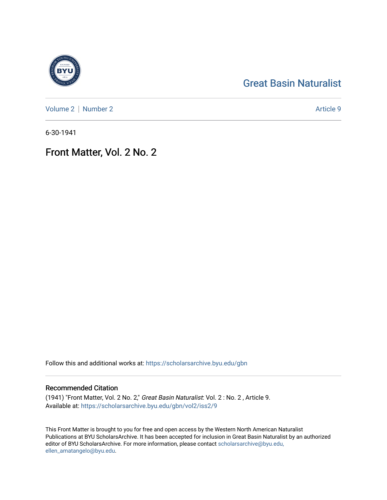# [Great Basin Naturalist](https://scholarsarchive.byu.edu/gbn)

[Volume 2](https://scholarsarchive.byu.edu/gbn/vol2) | [Number 2](https://scholarsarchive.byu.edu/gbn/vol2/iss2) Article 9

6-30-1941

## Front Matter, Vol. 2 No. 2

Follow this and additional works at: [https://scholarsarchive.byu.edu/gbn](https://scholarsarchive.byu.edu/gbn?utm_source=scholarsarchive.byu.edu%2Fgbn%2Fvol2%2Fiss2%2F9&utm_medium=PDF&utm_campaign=PDFCoverPages) 

#### Recommended Citation

(1941) "Front Matter, Vol. 2 No. 2," Great Basin Naturalist: Vol. 2 : No. 2 , Article 9. Available at: [https://scholarsarchive.byu.edu/gbn/vol2/iss2/9](https://scholarsarchive.byu.edu/gbn/vol2/iss2/9?utm_source=scholarsarchive.byu.edu%2Fgbn%2Fvol2%2Fiss2%2F9&utm_medium=PDF&utm_campaign=PDFCoverPages) 

This Front Matter is brought to you for free and open access by the Western North American Naturalist Publications at BYU ScholarsArchive. It has been accepted for inclusion in Great Basin Naturalist by an authorized editor of BYU ScholarsArchive. For more information, please contact [scholarsarchive@byu.edu,](mailto:scholarsarchive@byu.edu,%20ellen_amatangelo@byu.edu) [ellen\\_amatangelo@byu.edu](mailto:scholarsarchive@byu.edu,%20ellen_amatangelo@byu.edu).

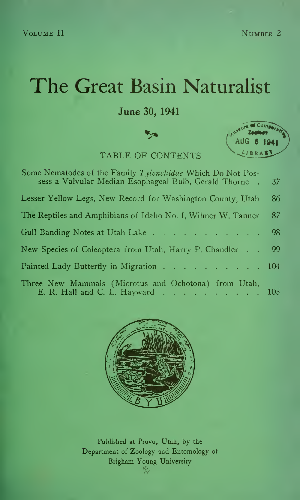# The Great Basin Naturalist

#### June 30, 1941

TABLE OF CONTENTS



| Some Nematodes of the Family Tylenchidae Which Do Not Pos-<br>sess a Valvular Median Esophageal Bulb, Gerald Thorne. | 37  |  |
|----------------------------------------------------------------------------------------------------------------------|-----|--|
| Lesser Yellow Legs, New Record for Washington County, Utah                                                           | 86  |  |
| The Reptiles and Amphibians of Idaho No. I, Wilmer W. Tanner                                                         | 87  |  |
| Gull Banding Notes at Utah Lake 98                                                                                   |     |  |
| New Species of Coleoptera from Utah, Harry P. Chandler                                                               | -99 |  |
| Painted Lady Butterfly in Migration 104                                                                              |     |  |
| Three New Mammals (Microtus and Ochotona) from Utah,<br>E. R. Hall and C. L. Hayward 105                             |     |  |



Published at Provo, Utah, by the Department of Zoology and Entomology of Brigham Young University